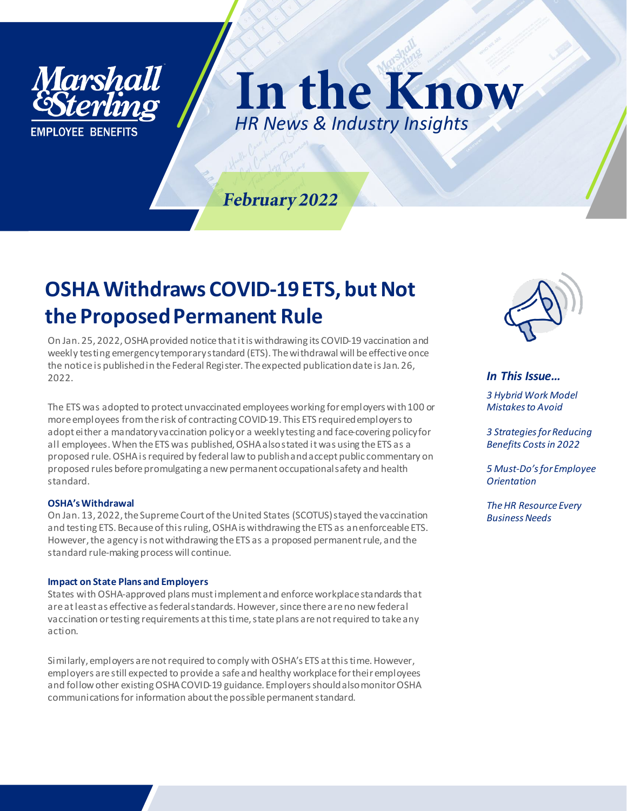

In the Know *HR News & Industry Insights*

### February 2022

## **OSHA Withdraws COVID-19 ETS, but Not the Proposed Permanent Rule**

On Jan. 25, 2022, OSHA provided notice that it is withdrawing its COVID-19 vaccination and weekly testing emergency temporary standard (ETS). The withdrawal will be effective once the notice is published in the Federal Register. The expected publication date is Jan. 26, 2022.

The ETS was adopted to protect unvaccinated employees working for employers with 100 or more employees from the risk of contracting COVID-19. This ETS required employers to adopt either a mandatory vaccination policy or a weekly testing and face-covering policy for all employees. When the ETS was published, OSHA also stated it was using the ETS as a proposed rule. OSHA is required by federal law to publish and accept public commentary on proposed rules before promulgating a new permanent occupational safety and health standard.

#### **OSHA's Withdrawal**

On Jan. 13, 2022, the Supreme Court of the United States (SCOTUS) stayed the vaccination and testing ETS. Because of this ruling, OSHA is withdrawing the ETS as an enforceable ETS. However, the agency is not withdrawing the ETS as a proposed permanent rule, and the standard rule-making process will continue.

#### **Impact on State Plans and Employers**

States with OSHA-approved plans must implement and enforce workplace standards that are at least as effective as federal standards. However, since there are no new federal vaccination or testing requirements at this time, state plans are not required to take any action.

Similarly, employers are not required to comply with OSHA's ETS at this time. However, employers are still expected to provide a safe and healthy workplace for their employees and follow other existing OSHA COVID-19 guidance. Employers should also monitor OSHA communications for information about the possible permanent standard.



*In This Issue… 3 Hybrid Work Model* 

*Mistakes to Avoid 3 Strategies for Reducing* 

*Benefits Costs in 2022*

*5 Must-Do's for Employee Orientation*

*The HR Resource Every Business Needs*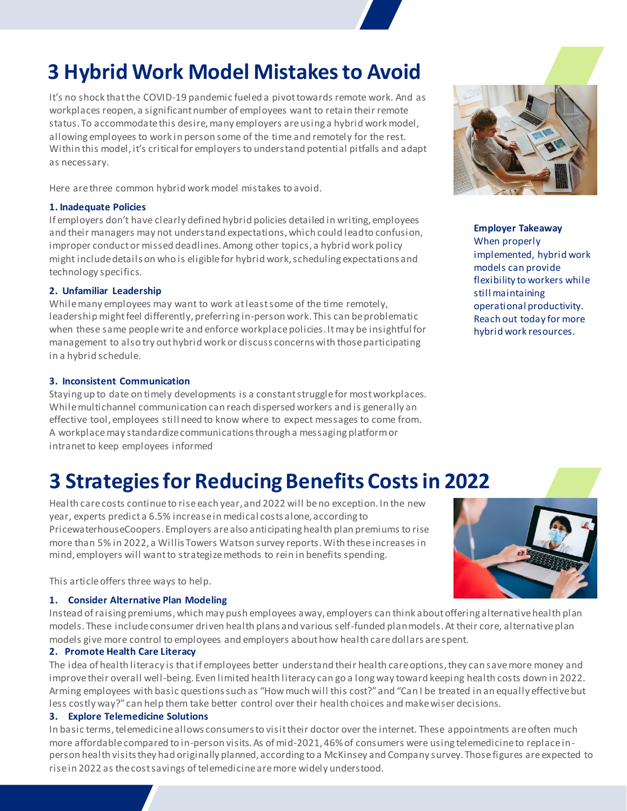# **3 Hybrid Work Model Mistakes to Avoid**

It's no shock that the COVID-19 pandemic fueled a pivot towards remote work. And as workplaces reopen, a significant number of employees want to retain their remote status. To accommodate this desire, many employers are using a hybrid work model, allowing employees to work in person some of the time and remotely for the rest. Within this model, it's critical for employers to understand potential pitfalls and adapt as necessary.

Here are three common hybrid work model mistakes to avoid.

### **1. Inadequate Policies**

If employers don't have clearly defined hybrid policies detailed in writing, employees and their managers may not understand expectations, which could lead to confusion, improper conduct or missed deadlines. Among other topics, a hybrid work policy might include details on who is eligible for hybrid work, scheduling expectations and technology specifics.

### **2. Unfamiliar Leadership**

While many employees may want to work at least some of the time remotely, leadership might feel differently, preferring in-person work. This can be problematic when these same people write and enforce workplace policies. It may be insightful for management to also try out hybrid work or discuss concerns with those participating in a hybrid schedule.

### **3. Inconsistent Communication**

Staying up to date on timely developments is a constant struggle for most workplaces. While multichannel communication can reach dispersed workers and is generally an effective tool, employees still need to know where to expect messages to come from. A workplace may standardize communications through a messaging platform or intranet to keep employees informed

### **3 Strategies for Reducing Benefits Costs in 2022**

Health care costs continue to rise each year, and 2022 will be no exception. In the new year, experts predict a 6.5% increase in medical costs alone, according to PricewaterhouseCoopers. Employers are also anticipating health plan premiums to rise more than 5% in 2022, a Willis Towers Watson survey reports. With these increases in mind, employers will want to strategize methods to rein in benefits spending.

This article offers three ways to help.

### **1. Consider Alternative Plan Modeling**

Instead of raising premiums, which may push employees away, employers can think about offering alternative health plan models. These include consumer driven health plans and various self-funded plan models. At their core, alternative plan models give more control to employees and employers about how health care dollars are spent.

### **2. Promote Health Care Literacy**

The idea of health literacy is that if employees better understand their health care options, they can save more money and improve their overall well-being. Even limited health literacy can go a long way toward keeping health costs down in 2022. Arming employees with basic questions such as "How much will this cost?" and "Can I be treated in an equally effective but less costly way?" can help them take better control over their health choices and make wiser decisions.

#### **3. Explore Telemedicine Solutions**

In basic terms, telemedicine allows consumers to visit their doctor over the internet. These appointments are often much more affordable compared to in-person visits. As of mid-2021, 46% of consumers were using telemedicine to replace inperson health visits they had originally planned, according to a McKinsey and Company survey. Those figures are expected to rise in 2022 as the cost savings of telemedicine are more widely understood.



**Employer Takeaway** When properly implemented, hybrid work models can provide flexibility to workers while still maintaining operational productivity. Reach out today for more hybrid work resources.